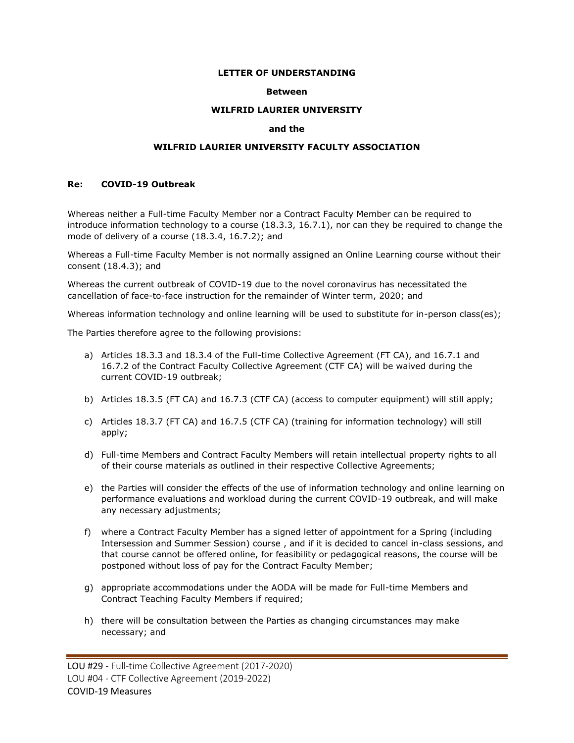### **LETTER OF UNDERSTANDING**

### **Between**

### **WILFRID LAURIER UNIVERSITY**

# **and the**

## **WILFRID LAURIER UNIVERSITY FACULTY ASSOCIATION**

## **Re: COVID-19 Outbreak**

Whereas neither a Full-time Faculty Member nor a Contract Faculty Member can be required to introduce information technology to a course (18.3.3, 16.7.1), nor can they be required to change the mode of delivery of a course (18.3.4, 16.7.2); and

Whereas a Full-time Faculty Member is not normally assigned an Online Learning course without their consent (18.4.3); and

Whereas the current outbreak of COVID-19 due to the novel coronavirus has necessitated the cancellation of face-to-face instruction for the remainder of Winter term, 2020; and

Whereas information technology and online learning will be used to substitute for in-person class(es);

The Parties therefore agree to the following provisions:

- a) Articles 18.3.3 and 18.3.4 of the Full-time Collective Agreement (FT CA), and 16.7.1 and 16.7.2 of the Contract Faculty Collective Agreement (CTF CA) will be waived during the current COVID-19 outbreak;
- b) Articles 18.3.5 (FT CA) and 16.7.3 (CTF CA) (access to computer equipment) will still apply;
- c) Articles 18.3.7 (FT CA) and 16.7.5 (CTF CA) (training for information technology) will still apply;
- d) Full-time Members and Contract Faculty Members will retain intellectual property rights to all of their course materials as outlined in their respective Collective Agreements;
- e) the Parties will consider the effects of the use of information technology and online learning on performance evaluations and workload during the current COVID-19 outbreak, and will make any necessary adjustments;
- f) where a Contract Faculty Member has a signed letter of appointment for a Spring (including Intersession and Summer Session) course , and if it is decided to cancel in-class sessions, and that course cannot be offered online, for feasibility or pedagogical reasons, the course will be postponed without loss of pay for the Contract Faculty Member;
- g) appropriate accommodations under the AODA will be made for Full-time Members and Contract Teaching Faculty Members if required;
- h) there will be consultation between the Parties as changing circumstances may make necessary; and